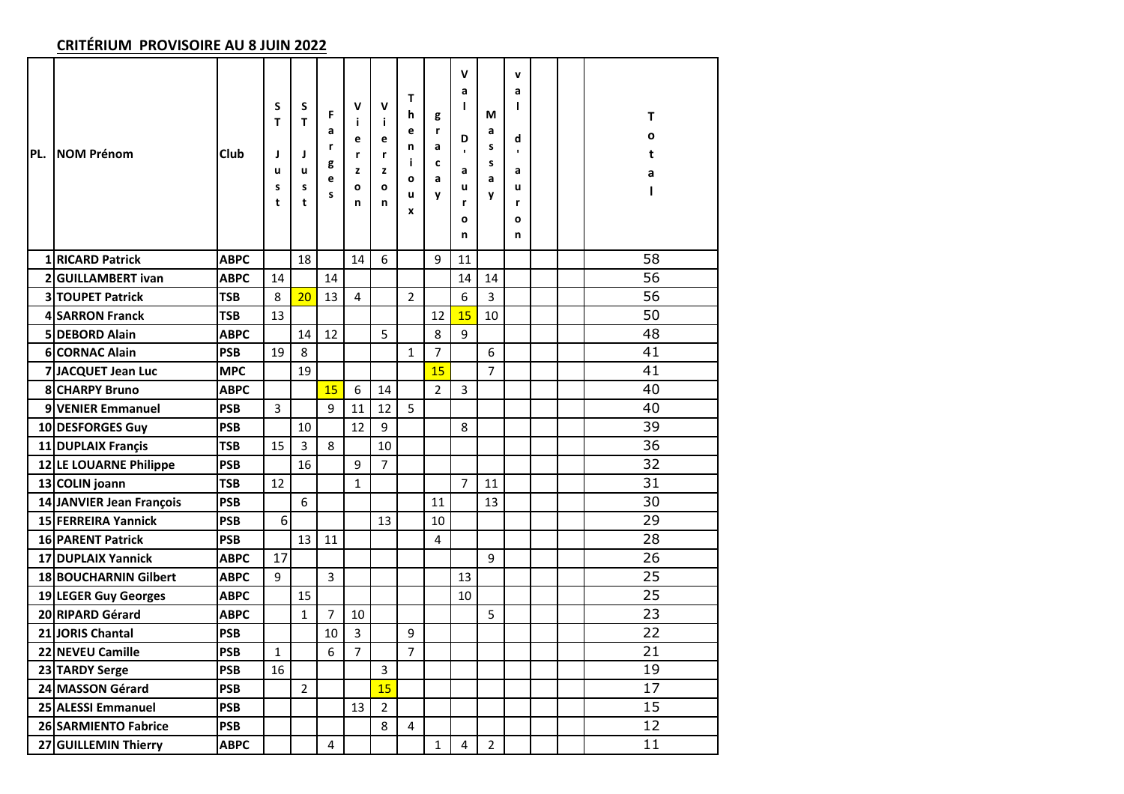## **CRITÉRIUM PROVISOIRE AU 8 JUIN 2022**

| PL. | <b>NOM Prénom</b>        | Club        | S<br>T<br>J<br>u<br>$\sf{s}$<br>t | S<br>T<br>J<br>u<br>s<br>t | F<br>a<br>r<br>g<br>e<br>s | $\mathbf v$<br>j.<br>е<br>r<br>z<br>O<br>n | $\mathsf{v}$<br>i<br>e<br>r<br>z<br>$\mathbf{o}$<br>n | Т<br>h<br>e<br>n<br>j.<br>$\mathbf{o}$<br>u<br>X | g<br>r<br>a<br>c<br>a<br>y | v<br>a<br>L<br>D<br>a<br>u<br>r<br>O<br>n | М<br>a<br>s<br>s<br>a<br>y | v<br>a<br>L<br>d<br>$\blacksquare$<br>a<br>u<br>r<br>O<br>n |  | T<br>O<br>t<br>а |
|-----|--------------------------|-------------|-----------------------------------|----------------------------|----------------------------|--------------------------------------------|-------------------------------------------------------|--------------------------------------------------|----------------------------|-------------------------------------------|----------------------------|-------------------------------------------------------------|--|------------------|
|     | 1 RICARD Patrick         | <b>ABPC</b> |                                   | 18                         |                            | 14                                         | 6                                                     |                                                  | $\mathsf{q}$               | 11                                        |                            |                                                             |  | 58               |
|     | 2 GUILLAMBERT ivan       | <b>ABPC</b> | 14                                |                            | 14                         |                                            |                                                       |                                                  |                            | 14                                        | 14                         |                                                             |  | 56               |
|     | 3 TOUPET Patrick         | <b>TSB</b>  | 8                                 | 20                         | 13                         | 4                                          |                                                       | $\overline{2}$                                   |                            | 6                                         | 3                          |                                                             |  | 56               |
|     | 4 SARRON Franck          | <b>TSB</b>  | 13                                |                            |                            |                                            |                                                       |                                                  | 12                         | 15                                        | 10                         |                                                             |  | 50               |
|     | 5 DEBORD Alain           | <b>ABPC</b> |                                   | 14                         | 12                         |                                            | 5                                                     |                                                  | 8                          | 9                                         |                            |                                                             |  | 48               |
|     | 6 CORNAC Alain           | <b>PSB</b>  | 19                                | 8                          |                            |                                            |                                                       | $\mathbf{1}$                                     | $\overline{7}$             |                                           | 6                          |                                                             |  | 41               |
|     | 7 JACQUET Jean Luc       | <b>MPC</b>  |                                   | 19                         |                            |                                            |                                                       |                                                  | 15                         |                                           | $\overline{7}$             |                                                             |  | 41               |
|     | 8 CHARPY Bruno           | <b>ABPC</b> |                                   |                            | 15                         | 6                                          | 14                                                    |                                                  | $\overline{2}$             | 3                                         |                            |                                                             |  | 40               |
|     | 9 VENIER Emmanuel        | <b>PSB</b>  | 3                                 |                            | 9                          | 11                                         | 12                                                    | 5                                                |                            |                                           |                            |                                                             |  | 40               |
|     | 10 DESFORGES Guy         | <b>PSB</b>  |                                   | 10                         |                            | 12                                         | 9                                                     |                                                  |                            | 8                                         |                            |                                                             |  | 39               |
|     | 11 DUPLAIX Francis       | <b>TSB</b>  | 15                                | 3                          | 8                          |                                            | 10                                                    |                                                  |                            |                                           |                            |                                                             |  | 36               |
|     | 12 LE LOUARNE Philippe   | <b>PSB</b>  |                                   | 16                         |                            | 9                                          | $\overline{7}$                                        |                                                  |                            |                                           |                            |                                                             |  | 32               |
|     | 13 COLIN joann           | <b>TSB</b>  | 12                                |                            |                            | $\mathbf{1}$                               |                                                       |                                                  |                            | $\overline{7}$                            | 11                         |                                                             |  | 31               |
|     | 14 JANVIER Jean François | <b>PSB</b>  |                                   | 6                          |                            |                                            |                                                       |                                                  | 11                         |                                           | 13                         |                                                             |  | 30               |
|     | 15 FERREIRA Yannick      | <b>PSB</b>  | 6                                 |                            |                            |                                            | 13                                                    |                                                  | 10                         |                                           |                            |                                                             |  | 29               |
|     | 16 PARENT Patrick        | <b>PSB</b>  |                                   | 13                         | 11                         |                                            |                                                       |                                                  | 4                          |                                           |                            |                                                             |  | 28               |
|     | 17 DUPLAIX Yannick       | <b>ABPC</b> | 17                                |                            |                            |                                            |                                                       |                                                  |                            |                                           | 9                          |                                                             |  | 26               |
|     | 18 BOUCHARNIN Gilbert    | <b>ABPC</b> | 9                                 |                            | $\overline{3}$             |                                            |                                                       |                                                  |                            | 13                                        |                            |                                                             |  | 25               |
|     | 19 LEGER Guy Georges     | <b>ABPC</b> |                                   | 15                         |                            |                                            |                                                       |                                                  |                            | 10                                        |                            |                                                             |  | 25               |
|     | 20 RIPARD Gérard         | <b>ABPC</b> |                                   | $\mathbf{1}$               | $\overline{7}$             | 10                                         |                                                       |                                                  |                            |                                           | 5                          |                                                             |  | 23               |
|     | <b>21 JORIS Chantal</b>  | <b>PSB</b>  |                                   |                            | 10                         | 3                                          |                                                       | 9                                                |                            |                                           |                            |                                                             |  | 22               |
|     | 22 NEVEU Camille         | <b>PSB</b>  | $\mathbf{1}$                      |                            | 6                          | $\overline{7}$                             |                                                       | $\overline{7}$                                   |                            |                                           |                            |                                                             |  | 21               |
|     | 23 TARDY Serge           | <b>PSB</b>  | 16                                |                            |                            |                                            | 3                                                     |                                                  |                            |                                           |                            |                                                             |  | 19               |
|     | 24 MASSON Gérard         | <b>PSB</b>  |                                   | $\overline{2}$             |                            |                                            | 15                                                    |                                                  |                            |                                           |                            |                                                             |  | 17               |
|     | 25 ALESSI Emmanuel       | <b>PSB</b>  |                                   |                            |                            | 13                                         | $\overline{2}$                                        |                                                  |                            |                                           |                            |                                                             |  | 15               |
|     | 26 SARMIENTO Fabrice     | <b>PSB</b>  |                                   |                            |                            |                                            | 8                                                     | 4                                                |                            |                                           |                            |                                                             |  | 12               |
|     | 27 GUILLEMIN Thierry     | <b>ABPC</b> |                                   |                            | 4                          |                                            |                                                       |                                                  | 1                          | 4                                         | $\overline{2}$             |                                                             |  | 11               |